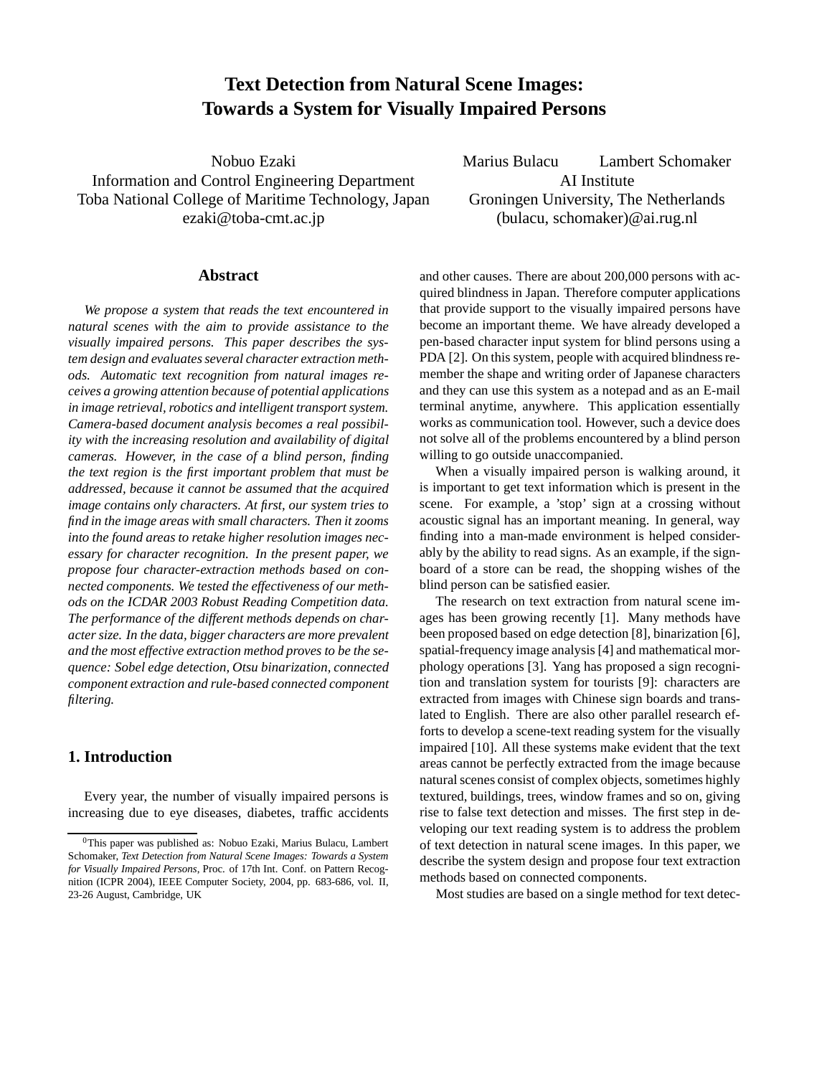# **Text Detection from Natural Scene Images: Towards a System for Visually Impaired Persons**

Nobuo Ezaki Information and Control Engineering Department Toba National College of Maritime Technology, Japan ezaki@toba-cmt.ac.jp

**Abstract**

*We propose a system that reads the text encountered in natural scenes with the aim to provide assistance to the visually impaired persons. This paper describes the system design and evaluatesseveral character extraction methods. Automatic text recognition from natural images receives a growing attention because of potential applications in image retrieval, robotics and intelligent transport system. Camera-based document analysis becomes a real possibility with the increasing resolution and availability of digital cameras. However, in the case of a blind person, finding the text region is the first important problem that must be addressed, because it cannot be assumed that the acquired image contains only characters. At first, our system tries to find in the image areas with small characters. Then it zooms into the found areas to retake higher resolution images necessary for character recognition. In the present paper, we propose four character-extraction methods based on connected components. We tested the effectiveness of our methods on the ICDAR 2003 Robust Reading Competition data. The performance of the different methods depends on character size. In the data, bigger characters are more prevalent and the most effective extraction method proves to be the sequence: Sobel edge detection, Otsu binarization, connected component extraction and rule-based connected component filtering.*

## **1. Introduction**

Every year, the number of visually impaired persons is increasing due to eye diseases, diabetes, traffic accidents Marius Bulacu Lambert Schomaker AI Institute Groningen University, The Netherlands (bulacu, schomaker)@ai.rug.nl

and other causes. There are about 200,000 persons with acquired blindness in Japan. Therefore computer applications that provide support to the visually impaired persons have become an important theme. We have already developed a pen-based character input system for blind persons using a PDA [2]. On this system, people with acquired blindness remember the shape and writing order of Japanese characters and they can use this system as a notepad and as an E-mail terminal anytime, anywhere. This application essentially works as communication tool. However, such a device does not solve all of the problems encountered by a blind person willing to go outside unaccompanied.

When a visually impaired person is walking around, it is important to get text information which is present in the scene. For example, a 'stop' sign at a crossing without acoustic signal has an important meaning. In general, way finding into a man-made environment is helped considerably by the ability to read signs. As an example, if the signboard of a store can be read, the shopping wishes of the blind person can be satisfied easier.

The research on text extraction from natural scene images has been growing recently [1]. Many methods have been proposed based on edge detection [8], binarization [6], spatial-frequency image analysis [4] and mathematical morphology operations [3]. Yang has proposed a sign recognition and translation system for tourists [9]: characters are extracted from images with Chinese sign boards and translated to English. There are also other parallel research efforts to develop a scene-text reading system for the visually impaired [10]. All these systems make evident that the text areas cannot be perfectly extracted from the image because natural scenes consist of complex objects, sometimes highly textured, buildings, trees, window frames and so on, giving rise to false text detection and misses. The first step in developing our text reading system is to address the problem of text detection in natural scene images. In this paper, we describe the system design and propose four text extraction methods based on connected components.

Most studies are based on a single method for text detec-

 $<sup>0</sup>$ This paper was published as: Nobuo Ezaki, Marius Bulacu, Lambert</sup> Schomaker, *Text Detection from Natural Scene Images: Towards a System for Visually Impaired Persons*, Proc. of 17th Int. Conf. on Pattern Recognition (ICPR 2004), IEEE Computer Society, 2004, pp. 683-686, vol. II, 23-26 August, Cambridge, UK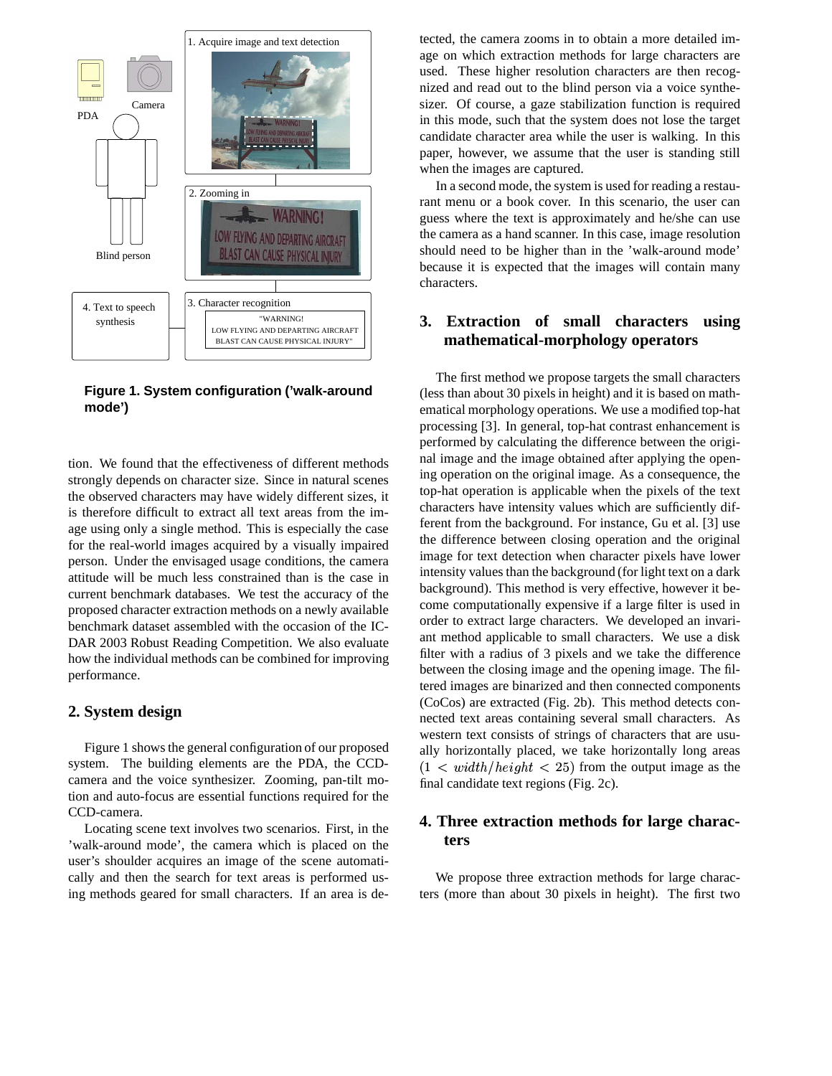

**Figure 1. System configuration ('walk-around mode')**

tion. We found that the effectiveness of different methods strongly depends on character size. Since in natural scenes the observed characters may have widely different sizes, it is therefore difficult to extract all text areas from the image using only a single method. This is especially the case for the real-world images acquired by a visually impaired person. Under the envisaged usage conditions, the camera attitude will be much less constrained than is the case in current benchmark databases. We test the accuracy of the proposed character extraction methods on a newly available benchmark dataset assembled with the occasion of the IC-DAR 2003 Robust Reading Competition. We also evaluate how the individual methods can be combined for improving performance.

#### **2. System design**

Figure 1 shows the general configuration of our proposed system. The building elements are the PDA, the CCDcamera and the voice synthesizer. Zooming, pan-tilt motion and auto-focus are essential functions required for the CCD-camera.

Locating scene text involves two scenarios. First, in the 'walk-around mode', the camera which is placed on the user's shoulder acquires an image of the scene automatically and then the search for text areas is performed using methods geared for small characters. If an area is detected, the camera zooms in to obtain a more detailed image on which extraction methods for large characters are used. These higher resolution characters are then recognized and read out to the blind person via a voice synthesizer. Of course, a gaze stabilization function is required in this mode, such that the system does not lose the target candidate character area while the user is walking. In this paper, however, we assume that the user is standing still when the images are captured.

In a second mode, the system is used for reading a restaurant menu or a book cover. In this scenario, the user can guess where the text is approximately and he/she can use the camera as a hand scanner. In this case, image resolution should need to be higher than in the 'walk-around mode' because it is expected that the images will contain many characters.

# **3. Extraction of small characters using mathematical-morphology operators**

The first method we propose targets the small characters (less than about 30 pixels in height) and it is based on mathematical morphology operations. We use a modified top-hat processing [3]. In general, top-hat contrast enhancement is performed by calculating the difference between the original image and the image obtained after applying the opening operation on the original image. As a consequence, the top-hat operation is applicable when the pixels of the text characters have intensity values which are sufficiently different from the background. For instance, Gu et al. [3] use the difference between closing operation and the original image for text detection when character pixels have lower intensity values than the background (for light text on a dark background). This method is very effective, however it become computationally expensive if a large filter is used in order to extract large characters. We developed an invariant method applicable to small characters. We use a disk filter with a radius of 3 pixels and we take the difference between the closing image and the opening image. The filtered images are binarized and then connected components (CoCos) are extracted (Fig. 2b). This method detects connected text areas containing several small characters. As western text consists of strings of characters that are usually horizontally placed, we take horizontally long areas  $(1 < width/height < 25)$  from the output image as the final candidate text regions (Fig. 2c).

# **4. Three extraction methods for large characters**

We propose three extraction methods for large characters (more than about 30 pixels in height). The first two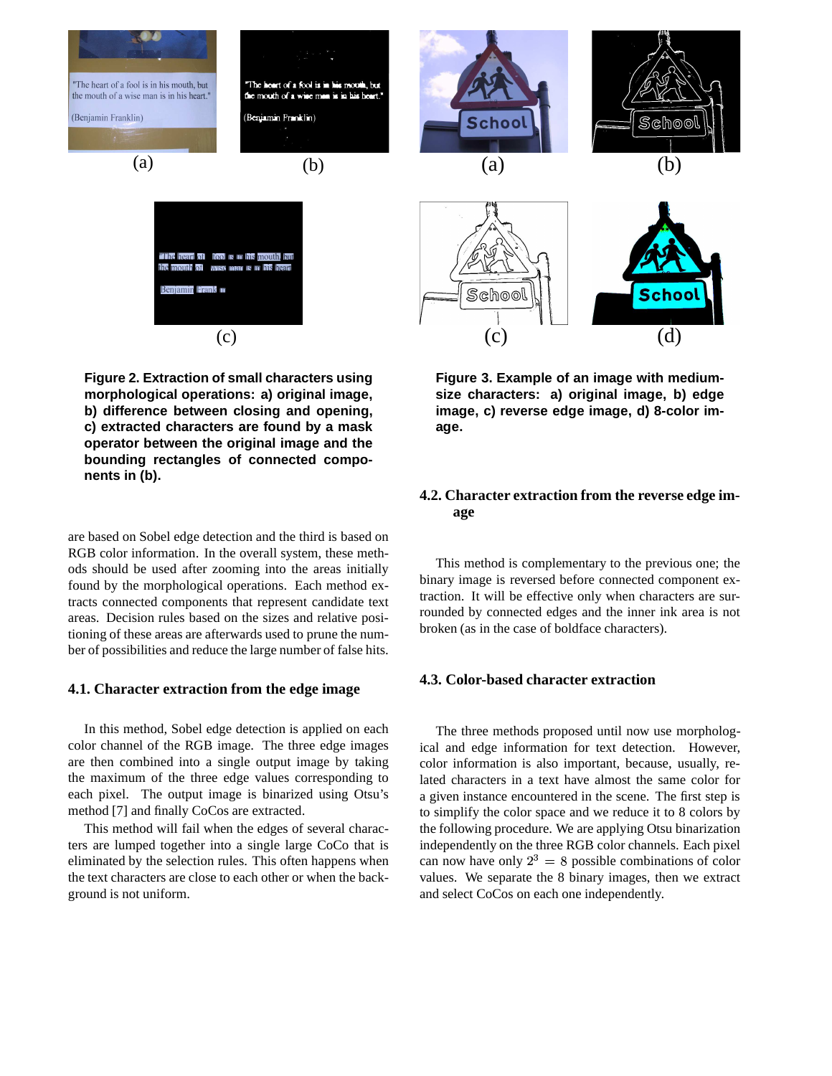

**Figure 2. Extraction of small characters using morphological operations: a) original image, b) difference between closing and opening, c) extracted characters are found by a mask operator between the original image and the bounding rectangles of connected components in (b).**

are based on Sobel edge detection and the third is based on RGB color information. In the overall system, these methods should be used after zooming into the areas initially found by the morphological operations. Each method extracts connected components that represent candidate text areas. Decision rules based on the sizes and relative positioning of these areas are afterwards used to prune the number of possibilities and reduce the large number of false hits.

#### **4.1. Character extraction from the edge image**

In this method, Sobel edge detection is applied on each color channel of the RGB image. The three edge images are then combined into a single output image by taking the maximum of the three edge values corresponding to each pixel. The output image is binarized using Otsu's method [7] and finally CoCos are extracted.

This method will fail when the edges of several characters are lumped together into a single large CoCo that is eliminated by the selection rules. This often happens when the text characters are close to each other or when the background is not uniform.

**Figure 3. Example of an image with mediumsize characters: a) original image, b) edge image, c) reverse edge image, d) 8-color image.**

# **4.2. Character extraction from the reverse edge image**

This method is complementary to the previous one; the binary image is reversed before connected component extraction. It will be effective only when characters are surrounded by connected edges and the inner ink area is not broken (as in the case of boldface characters).

# **4.3. Color-based character extraction**

The three methods proposed until now use morphological and edge information for text detection. However, color information is also important, because, usually, related characters in a text have almost the same color for a given instance encountered in the scene. The first step is to simplify the color space and we reduce it to 8 colors by the following procedure. We are applying Otsu binarization independently on the three RGB color channels. Each pixel can now have only  $2^3 = 8$  possible combinations of color values. We separate the 8 binary images, then we extract and select CoCos on each one independently.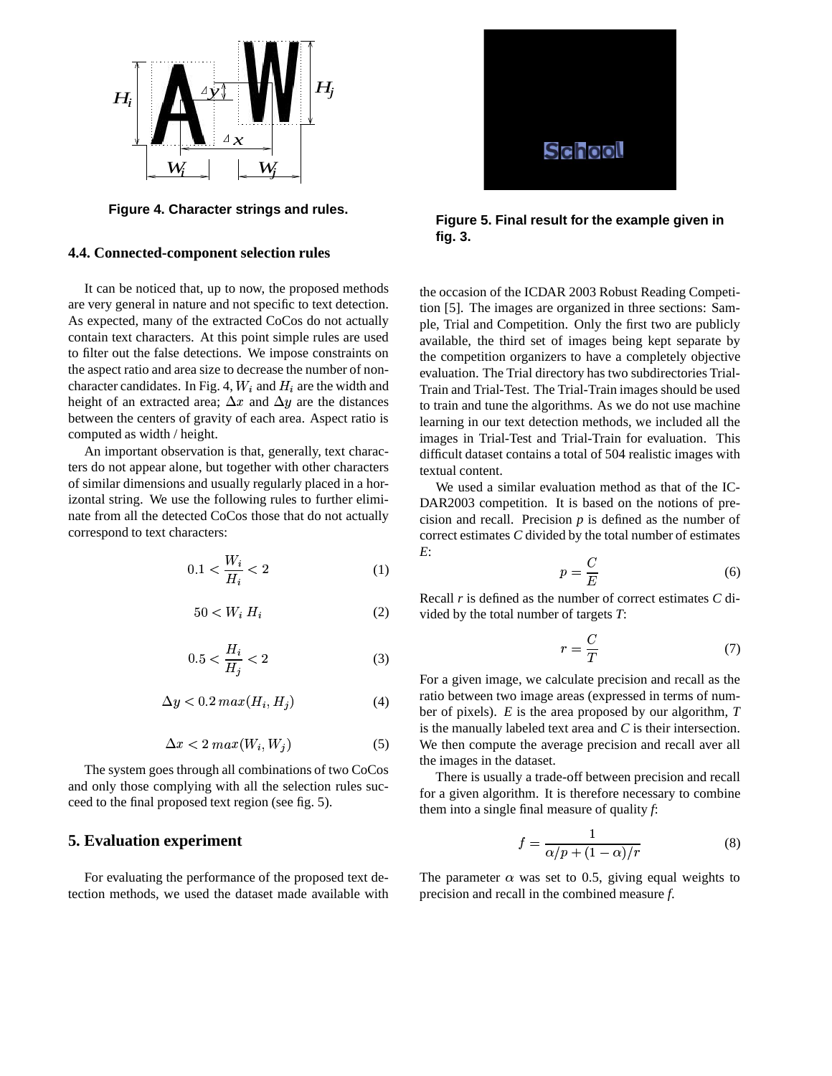

**Figure 4. Character strings and rules.**

#### **4.4. Connected-component selection rules**

It can be noticed that, up to now, the proposed methods are very general in nature and not specific to text detection. As expected, many of the extracted CoCos do not actually contain text characters. At this point simple rules are used to filter out the false detections. We impose constraints on the aspect ratio and area size to decrease the number of noncharacter candidates. In Fig. 4,  $W_i$  and  $H_i$  are the width and height of an extracted area;  $\Delta x$  and  $\Delta y$  are the distances between the centers of gravity of each area. Aspect ratio is computed as width / height.

An important observation is that, generally, text characters do not appear alone, but together with other characters of similar dimensions and usually regularly placed in a horizontal string. We use the following rules to further eliminate from all the detected CoCos those that do not actually correspond to text characters:

$$
0.1 < \frac{W_i}{H_i} < 2\tag{1}
$$

$$
50 < W_i \, H_i \tag{2}
$$

$$
0.5 < \frac{H_i}{H_j} < 2\tag{3}
$$

$$
\Delta y < 0.2 \, \max(H_i, H_j) \tag{4}
$$

$$
\Delta x < 2 \max(W_i, W_j) \tag{5}
$$

The system goes through all combinations of two CoCos and only those complying with all the selection rules succeed to the final proposed text region (see fig. 5).

## **5. Evaluation experiment**

For evaluating the performance of the proposed text detection methods, we used the dataset made available with



**Figure 5. Final result for the example given in fig. 3.**

the occasion of the ICDAR 2003 Robust Reading Competition [5]. The images are organized in three sections: Sample, Trial and Competition. Only the first two are publicly available, the third set of images being kept separate by the competition organizers to have a completely objective evaluation. The Trial directory has two subdirectories Trial-Train and Trial-Test. The Trial-Train images should be used to train and tune the algorithms. As we do not use machine learning in our text detection methods, we included all the images in Trial-Test and Trial-Train for evaluation. This difficult dataset contains a total of 504 realistic images with textual content.

We used a similar evaluation method as that of the IC-DAR2003 competition. It is based on the notions of precision and recall. Precision *p* is defined as the number of correct estimates *C* divided by the total number of estimates *E*:

$$
p = \frac{C}{E} \tag{6}
$$

Recall *r* is defined as the number of correct estimates *C* divided by the total number of targets *T*:

$$
r = \frac{C}{T} \tag{7}
$$

For a given image, we calculate precision and recall as the ratio between two image areas (expressed in terms of number of pixels). *E* is the area proposed by our algorithm, *T* is the manually labeled text area and *C* is their intersection. We then compute the average precision and recall aver all the images in the dataset.

There is usually a trade-off between precision and recall for a given algorithm. It is therefore necessary to combine them into a single final measure of quality *f*:

$$
f = \frac{1}{\alpha/p + (1 - \alpha)/r} \tag{8}
$$

The parameter  $\alpha$  was set to 0.5, giving equal weights to precision and recall in the combined measure *f*.